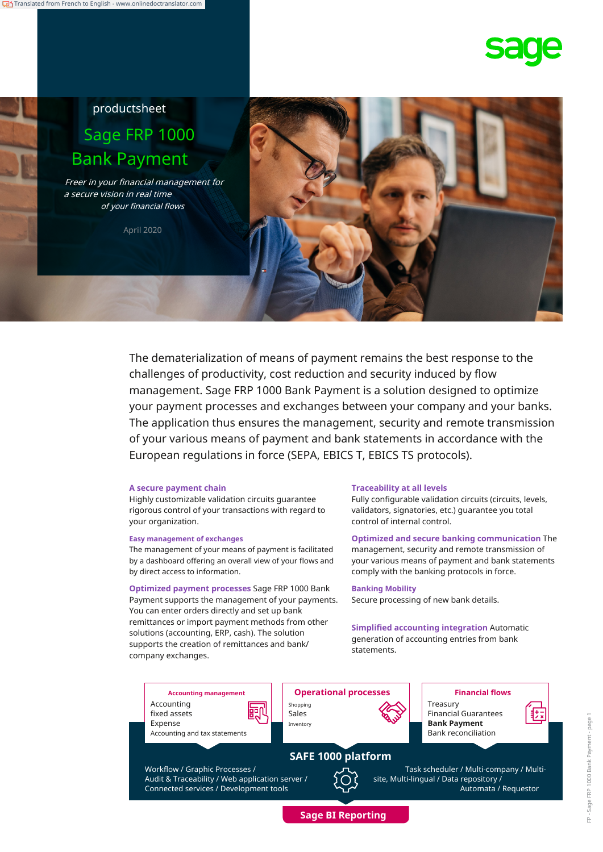# productsheet Sage FRP 1000 Bank Payment

Freer in your financial management for a secure vision in real time of your financial flows

April 2020



The dematerialization of means of payment remains the best response to the challenges of productivity, cost reduction and security induced by flow management. Sage FRP 1000 Bank Payment is a solution designed to optimize your payment processes and exchanges between your company and your banks. The application thus ensures the management, security and remote transmission of your various means of payment and bank statements in accordance with the European regulations in force (SEPA, EBICS T, EBICS TS protocols).

#### **A secure payment chain**

Highly customizable validation circuits guarantee rigorous control of your transactions with regard to your organization.

#### **Easy management of exchanges**

The management of your means of payment is facilitated by a dashboard offering an overall view of your flows and by direct access to information.

**Optimized payment processes** Sage FRP 1000 Bank Payment supports the management of your payments. You can enter orders directly and set up bank remittances or import payment methods from other solutions (accounting, ERP, cash). The solution supports the creation of remittances and bank/ company exchanges.

#### **Traceability at all levels**

Fully configurable validation circuits (circuits, levels, validators, signatories, etc.) guarantee you total control of internal control.

**Optimized and secure banking communication** The management, security and remote transmission of your various means of payment and bank statements comply with the banking protocols in force.

#### **Banking Mobility**

Secure processing of new bank details.

**Simplified accounting integration** Automatic generation of accounting entries from bank statements.

Accounting fixed assets Expense Accounting and tax statements

Workflow / Graphic Processes / Audit & Traceability / Web application server / Connected services / Development tools



Treasury Financial Guarantees Bank reconciliation

**SAFE 1000 platform**

Task scheduler / Multi-company / Multisite, Multi-lingual / Data repository / Automata / Requestor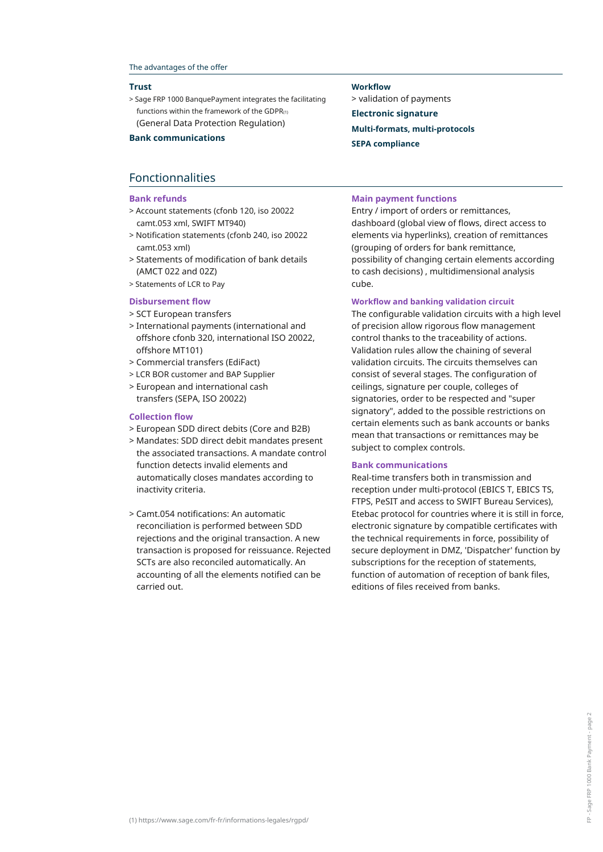#### The advantages of the offer

#### **Trust**

> Sage FRP 1000 BanquePayment integrates the facilitating functions within the framework of the GDPR $(1)$ (General Data Protection Regulation)

## Fonctionnalities

#### **Bank refunds**

- > Account statements (cfonb 120, iso 20022 camt.053 xml, SWIFT MT940)
- > Notification statements (cfonb 240, iso 20022 camt.053 xml)
- > Statements of modification of bank details (AMCT 022 and 02Z)
- > Statements of LCR to Pay

#### **Disbursement flow**

- > SCT European transfers
- > International payments (international and offshore cfonb 320, international ISO 20022, offshore MT101)
- > Commercial transfers (EdiFact)
- > LCR BOR customer and BAP Supplier
- > European and international cash transfers (SEPA, ISO 20022)

#### **Collection flow**

- > European SDD direct debits (Core and B2B)
- > Mandates: SDD direct debit mandates present the associated transactions. A mandate control function detects invalid elements and automatically closes mandates according to inactivity criteria.
- > Camt.054 notifications: An automatic reconciliation is performed between SDD rejections and the original transaction. A new transaction is proposed for reissuance. Rejected SCTs are also reconciled automatically. An accounting of all the elements notified can be carried out.

#### **Workflow**

> validation of payments **Electronic signature Multi-formats, multi-protocols SEPA compliance Bank communications**

#### **Main payment functions**

Entry / import of orders or remittances, dashboard (global view of flows, direct access to elements via hyperlinks), creation of remittances (grouping of orders for bank remittance, possibility of changing certain elements according to cash decisions) , multidimensional analysis cube.

#### **Workflow and banking validation circuit**

The configurable validation circuits with a high level of precision allow rigorous flow management control thanks to the traceability of actions. Validation rules allow the chaining of several validation circuits. The circuits themselves can consist of several stages. The configuration of ceilings, signature per couple, colleges of signatories, order to be respected and "super signatory", added to the possible restrictions on certain elements such as bank accounts or banks mean that transactions or remittances may be subject to complex controls.

#### **Bank communications**

Real-time transfers both in transmission and reception under multi-protocol (EBICS T, EBICS TS, FTPS, PeSIT and access to SWIFT Bureau Services), Etebac protocol for countries where it is still in force, electronic signature by compatible certificates with the technical requirements in force, possibility of secure deployment in DMZ, 'Dispatcher' function by subscriptions for the reception of statements, function of automation of reception of bank files, editions of files received from banks.